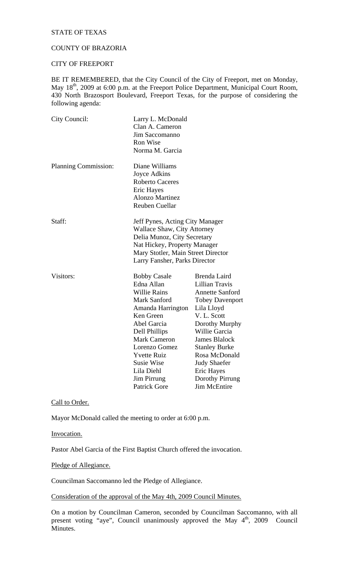### STATE OF TEXAS

### COUNTY OF BRAZORIA

# CITY OF FREEPORT

BE IT REMEMBERED, that the City Council of the City of Freeport, met on Monday, May 18<sup>th</sup>, 2009 at 6:00 p.m. at the Freeport Police Department, Municipal Court Room, 430 North Brazosport Boulevard, Freeport Texas, for the purpose of considering the following agenda:

| City Council:               | Larry L. McDonald<br>Clan A. Cameron<br>Jim Saccomanno<br>Ron Wise<br>Norma M. Garcia                                                                                                                                                                                             |                                                                                                                                                                                                                                                                                                                  |
|-----------------------------|-----------------------------------------------------------------------------------------------------------------------------------------------------------------------------------------------------------------------------------------------------------------------------------|------------------------------------------------------------------------------------------------------------------------------------------------------------------------------------------------------------------------------------------------------------------------------------------------------------------|
| <b>Planning Commission:</b> | Diane Williams<br>Joyce Adkins<br><b>Roberto Caceres</b><br>Eric Hayes<br><b>Alonzo Martinez</b><br><b>Reuben Cuellar</b>                                                                                                                                                         |                                                                                                                                                                                                                                                                                                                  |
| Staff:                      | Jeff Pynes, Acting City Manager<br><b>Wallace Shaw, City Attorney</b><br>Delia Munoz, City Secretary<br>Nat Hickey, Property Manager<br>Mary Stotler, Main Street Director<br>Larry Fansher, Parks Director                                                                       |                                                                                                                                                                                                                                                                                                                  |
| Visitors:                   | <b>Bobby Casale</b><br>Edna Allan<br><b>Willie Rains</b><br>Mark Sanford<br>Amanda Harrington<br>Ken Green<br>Abel Garcia<br>Dell Phillips<br><b>Mark Cameron</b><br>Lorenzo Gomez<br><b>Yvette Ruiz</b><br>Susie Wise<br>Lila Diehl<br><b>Jim Pirrung</b><br><b>Patrick Gore</b> | Brenda Laird<br><b>Lillian Travis</b><br><b>Annette Sanford</b><br><b>Tobey Davenport</b><br>Lila Lloyd<br>V. L. Scott<br>Dorothy Murphy<br>Willie Garcia<br><b>James Blalock</b><br><b>Stanley Burke</b><br>Rosa McDonald<br><b>Judy Shaefer</b><br>Eric Hayes<br><b>Dorothy Pirrung</b><br><b>Jim McEntire</b> |

### Call to Order.

Mayor McDonald called the meeting to order at 6:00 p.m.

Invocation.

Pastor Abel Garcia of the First Baptist Church offered the invocation.

Pledge of Allegiance.

Councilman Saccomanno led the Pledge of Allegiance.

Consideration of the approval of the May 4th, 2009 Council Minutes.

On a motion by Councilman Cameron, seconded by Councilman Saccomanno, with all present voting "aye", Council unanimously approved the May 4<sup>th</sup>, 2009 Council Minutes.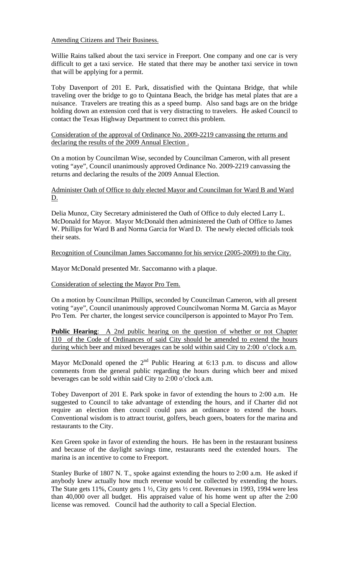Attending Citizens and Their Business.

Willie Rains talked about the taxi service in Freeport. One company and one car is very difficult to get a taxi service. He stated that there may be another taxi service in town that will be applying for a permit.

Toby Davenport of 201 E. Park, dissatisfied with the Quintana Bridge, that while traveling over the bridge to go to Quintana Beach, the bridge has metal plates that are a nuisance. Travelers are treating this as a speed bump. Also sand bags are on the bridge holding down an extension cord that is very distracting to travelers. He asked Council to contact the Texas Highway Department to correct this problem.

Consideration of the approval of Ordinance No. 2009-2219 canvassing the returns and declaring the results of the 2009 Annual Election .

On a motion by Councilman Wise, seconded by Councilman Cameron, with all present voting "aye", Council unanimously approved Ordinance No. 2009-2219 canvassing the returns and declaring the results of the 2009 Annual Election.

Administer Oath of Office to duly elected Mayor and Councilman for Ward B and Ward D.

Delia Munoz, City Secretary administered the Oath of Office to duly elected Larry L. McDonald for Mayor. Mayor McDonald then administered the Oath of Office to James W. Phillips for Ward B and Norma Garcia for Ward D. The newly elected officials took their seats.

Recognition of Councilman James Saccomanno for his service (2005-2009) to the City.

Mayor McDonald presented Mr. Saccomanno with a plaque.

Consideration of selecting the Mayor Pro Tem.

On a motion by Councilman Phillips, seconded by Councilman Cameron, with all present voting "aye", Council unanimously approved Councilwoman Norma M. Garcia as Mayor Pro Tem. Per charter, the longest service councilperson is appointed to Mayor Pro Tem.

**Public Hearing:** A 2nd public hearing on the question of whether or not Chapter 110 of the Code of Ordinances of said City should be amended to extend the hours during which beer and mixed beverages can be sold within said City to 2:00 o'clock a.m.

Mayor McDonald opened the  $2<sup>nd</sup>$  Public Hearing at 6:13 p.m. to discuss and allow comments from the general public regarding the hours during which beer and mixed beverages can be sold within said City to 2:00 o'clock a.m.

Tobey Davenport of 201 E. Park spoke in favor of extending the hours to 2:00 a.m. He suggested to Council to take advantage of extending the hours, and if Charter did not require an election then council could pass an ordinance to extend the hours. Conventional wisdom is to attract tourist, golfers, beach goers, boaters for the marina and restaurants to the City.

Ken Green spoke in favor of extending the hours. He has been in the restaurant business and because of the daylight savings time, restaurants need the extended hours. The marina is an incentive to come to Freeport.

Stanley Burke of 1807 N. T., spoke against extending the hours to 2:00 a.m. He asked if anybody knew actually how much revenue would be collected by extending the hours. The State gets 11%, County gets 1 ½, City gets ½ cent. Revenues in 1993, 1994 were less than 40,000 over all budget. His appraised value of his home went up after the 2:00 license was removed. Council had the authority to call a Special Election.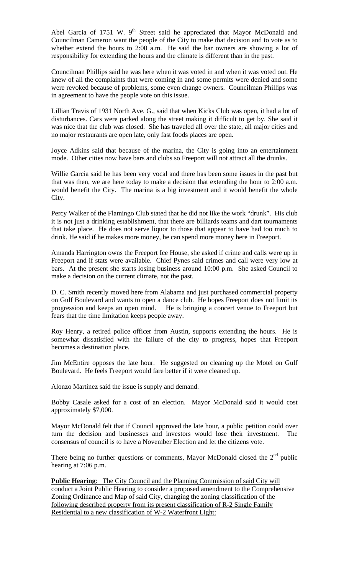Abel Garcia of 1751 W. 9<sup>th</sup> Street said he appreciated that Mayor McDonald and Councilman Cameron want the people of the City to make that decision and to vote as to whether extend the hours to 2:00 a.m. He said the bar owners are showing a lot of responsibility for extending the hours and the climate is different than in the past.

Councilman Phillips said he was here when it was voted in and when it was voted out. He knew of all the complaints that were coming in and some permits were denied and some were revoked because of problems, some even change owners. Councilman Phillips was in agreement to have the people vote on this issue.

Lillian Travis of 1931 North Ave. G., said that when Kicks Club was open, it had a lot of disturbances. Cars were parked along the street making it difficult to get by. She said it was nice that the club was closed. She has traveled all over the state, all major cities and no major restaurants are open late, only fast foods places are open.

Joyce Adkins said that because of the marina, the City is going into an entertainment mode. Other cities now have bars and clubs so Freeport will not attract all the drunks.

Willie Garcia said he has been very vocal and there has been some issues in the past but that was then, we are here today to make a decision that extending the hour to 2:00 a.m. would benefit the City. The marina is a big investment and it would benefit the whole City.

Percy Walker of the Flamingo Club stated that he did not like the work "drunk". His club it is not just a drinking establishment, that there are billiards teams and dart tournaments that take place. He does not serve liquor to those that appear to have had too much to drink. He said if he makes more money, he can spend more money here in Freeport.

Amanda Harrington owns the Freeport Ice House, she asked if crime and calls were up in Freeport and if stats were available. Chief Pynes said crimes and call were very low at bars. At the present she starts losing business around 10:00 p.m. She asked Council to make a decision on the current climate, not the past.

D. C. Smith recently moved here from Alabama and just purchased commercial property on Gulf Boulevard and wants to open a dance club. He hopes Freeport does not limit its progression and keeps an open mind. He is bringing a concert venue to Freeport but fears that the time limitation keeps people away.

Roy Henry, a retired police officer from Austin, supports extending the hours. He is somewhat dissatisfied with the failure of the city to progress, hopes that Freeport becomes a destination place.

Jim McEntire opposes the late hour. He suggested on cleaning up the Motel on Gulf Boulevard. He feels Freeport would fare better if it were cleaned up.

Alonzo Martinez said the issue is supply and demand.

Bobby Casale asked for a cost of an election. Mayor McDonald said it would cost approximately \$7,000.

Mayor McDonald felt that if Council approved the late hour, a public petition could over turn the decision and businesses and investors would lose their investment. The consensus of council is to have a November Election and let the citizens vote.

There being no further questions or comments, Mayor McDonald closed the  $2<sup>nd</sup>$  public hearing at 7:06 p.m.

**Public Hearing:** The City Council and the Planning Commission of said City will conduct a Joint Public Hearing to consider a proposed amendment to the Comprehensive Zoning Ordinance and Map of said City, changing the zoning classification of the following described property from its present classification of R-2 Single Family Residential to a new classification of W-2 Waterfront Light: